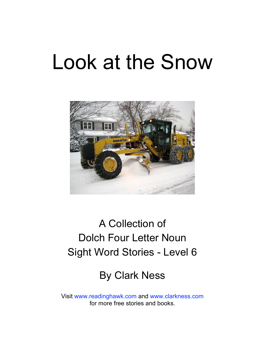# Look at the Snow



# A Collection of Dolch Four Letter Noun Sight Word Stories - Level 6

# By Clark Ness

Visit [www.readinghawk.com](http://www.readinghawk.com) and [www.clarkness.com](http://www.clarkness.com) for more free stories and books.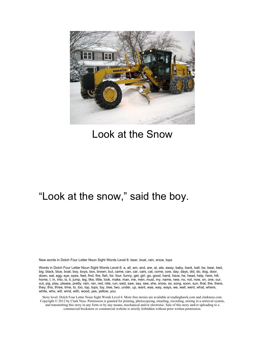

# Look at the Snow

#### "Look at the snow," said the boy.

New words in Dolch Four Letter Noun Sight Words Level 6: bear, boat, rain, snow, tops

Words in Dolch Four Letter Noun Sight Words Level 6: a, all, am, and, are, at, ate, away, baby, back, ball, be, bear, bed, big, black, blue, boat, boy, boys, box, brown, but, came, can, car, cars, cat, come, cow, day, days, did, do, dog, door, down, eat, egg, eye, eyes, feet, find, fire, fish, for, four, funny, get, girl, go, good, hand, have, he, head, help, here, hill, home, I, in, into, is, it, jump, leg, like, little, look, make, man, me, men, must, my, name, new, no, not, now, on, one, our, out, pig, play, please, pretty, rain, ran, red, ride, run, said, saw, say, see, she, snow, so, song, soon, sun, that, the, there, they, this, three, time, to, too, top, tops, toy, tree, two, under, up, want, was, way, ways, we, well, went, what, where, white, who, will, wind, with, wood, yes, yellow, you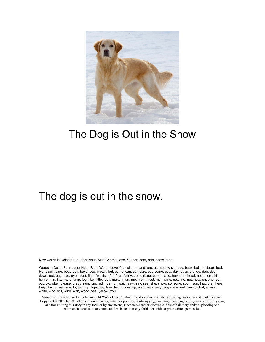

# The Dog is Out in the Snow

#### The dog is out in the snow.

New words in Dolch Four Letter Noun Sight Words Level 6: bear, boat, rain, snow, tops

Words in Dolch Four Letter Noun Sight Words Level 6: a, all, am, and, are, at, ate, away, baby, back, ball, be, bear, bed, big, black, blue, boat, boy, boys, box, brown, but, came, can, car, cars, cat, come, cow, day, days, did, do, dog, door, down, eat, egg, eye, eyes, feet, find, fire, fish, for, four, funny, get, girl, go, good, hand, have, he, head, help, here, hill, home, I, in, into, is, it, jump, leg, like, little, look, make, man, me, men, must, my, name, new, no, not, now, on, one, our, out, pig, play, please, pretty, rain, ran, red, ride, run, said, saw, say, see, she, snow, so, song, soon, sun, that, the, there, they, this, three, time, to, too, top, tops, toy, tree, two, under, up, want, was, way, ways, we, well, went, what, where, white, who, will, wind, with, wood, yes, yellow, you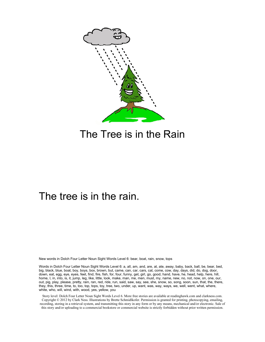

# The Tree is in the Rain

#### The tree is in the rain.

New words in Dolch Four Letter Noun Sight Words Level 6: bear, boat, rain, snow, tops

Words in Dolch Four Letter Noun Sight Words Level 6: a, all, am, and, are, at, ate, away, baby, back, ball, be, bear, bed, big, black, blue, boat, boy, boys, box, brown, but, came, can, car, cars, cat, come, cow, day, days, did, do, dog, door, down, eat, egg, eye, eyes, feet, find, fire, fish, for, four, funny, get, girl, go, good, hand, have, he, head, help, here, hill, home, I, in, into, is, it, jump, leg, like, little, look, make, man, me, men, must, my, name, new, no, not, now, on, one, our, out, pig, play, please, pretty, rain, ran, red, ride, run, said, saw, say, see, she, snow, so, song, soon, sun, that, the, there, they, this, three, time, to, too, top, tops, toy, tree, two, under, up, want, was, way, ways, we, well, went, what, where, white, who, will, wind, with, wood, yes, yellow, you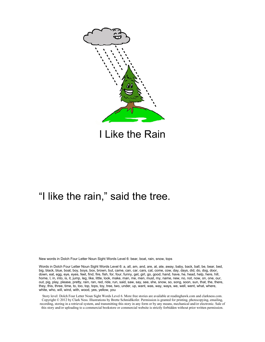

I Like the Rain

# "I like the rain," said the tree.

New words in Dolch Four Letter Noun Sight Words Level 6: bear, boat, rain, snow, tops

Words in Dolch Four Letter Noun Sight Words Level 6: a, all, am, and, are, at, ate, away, baby, back, ball, be, bear, bed, big, black, blue, boat, boy, boys, box, brown, but, came, can, car, cars, cat, come, cow, day, days, did, do, dog, door, down, eat, egg, eye, eyes, feet, find, fire, fish, for, four, funny, get, girl, go, good, hand, have, he, head, help, here, hill, home, I, in, into, is, it, jump, leg, like, little, look, make, man, me, men, must, my, name, new, no, not, now, on, one, our, out, pig, play, please, pretty, rain, ran, red, ride, run, said, saw, say, see, she, snow, so, song, soon, sun, that, the, there, they, this, three, time, to, too, top, tops, toy, tree, two, under, up, want, was, way, ways, we, well, went, what, where, white, who, will, wind, with, wood, yes, yellow, you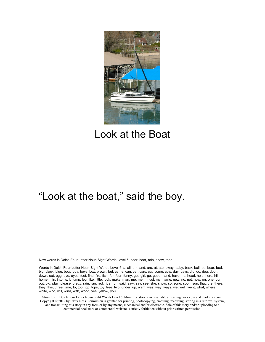

# Look at the Boat

# "Look at the boat," said the boy.

New words in Dolch Four Letter Noun Sight Words Level 6: bear, boat, rain, snow, tops

Words in Dolch Four Letter Noun Sight Words Level 6: a, all, am, and, are, at, ate, away, baby, back, ball, be, bear, bed, big, black, blue, boat, boy, boys, box, brown, but, came, can, car, cars, cat, come, cow, day, days, did, do, dog, door, down, eat, egg, eye, eyes, feet, find, fire, fish, for, four, funny, get, girl, go, good, hand, have, he, head, help, here, hill, home, I, in, into, is, it, jump, leg, like, little, look, make, man, me, men, must, my, name, new, no, not, now, on, one, our, out, pig, play, please, pretty, rain, ran, red, ride, run, said, saw, say, see, she, snow, so, song, soon, sun, that, the, there, they, this, three, time, to, too, top, tops, toy, tree, two, under, up, want, was, way, ways, we, well, went, what, where, white, who, will, wind, with, wood, yes, yellow, you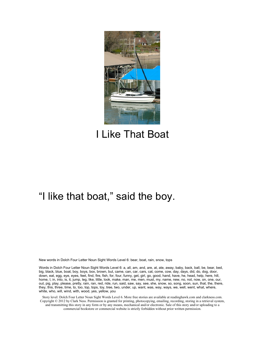

# I Like That Boat

# "I like that boat," said the boy.

New words in Dolch Four Letter Noun Sight Words Level 6: bear, boat, rain, snow, tops

Words in Dolch Four Letter Noun Sight Words Level 6: a, all, am, and, are, at, ate, away, baby, back, ball, be, bear, bed, big, black, blue, boat, boy, boys, box, brown, but, came, can, car, cars, cat, come, cow, day, days, did, do, dog, door, down, eat, egg, eye, eyes, feet, find, fire, fish, for, four, funny, get, girl, go, good, hand, have, he, head, help, here, hill, home, I, in, into, is, it, jump, leg, like, little, look, make, man, me, men, must, my, name, new, no, not, now, on, one, our, out, pig, play, please, pretty, rain, ran, red, ride, run, said, saw, say, see, she, snow, so, song, soon, sun, that, the, there, they, this, three, time, to, too, top, tops, toy, tree, two, under, up, want, was, way, ways, we, well, went, what, where, white, who, will, wind, with, wood, yes, yellow, you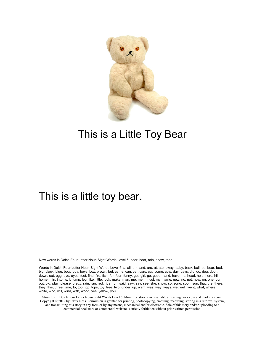

# This is a Little Toy Bear

#### This is a little toy bear.

New words in Dolch Four Letter Noun Sight Words Level 6: bear, boat, rain, snow, tops

Words in Dolch Four Letter Noun Sight Words Level 6: a, all, am, and, are, at, ate, away, baby, back, ball, be, bear, bed, big, black, blue, boat, boy, boys, box, brown, but, came, can, car, cars, cat, come, cow, day, days, did, do, dog, door, down, eat, egg, eye, eyes, feet, find, fire, fish, for, four, funny, get, girl, go, good, hand, have, he, head, help, here, hill, home, I, in, into, is, it, jump, leg, like, little, look, make, man, me, men, must, my, name, new, no, not, now, on, one, our, out, pig, play, please, pretty, rain, ran, red, ride, run, said, saw, say, see, she, snow, so, song, soon, sun, that, the, there, they, this, three, time, to, too, top, tops, toy, tree, two, under, up, want, was, way, ways, we, well, went, what, where, white, who, will, wind, with, wood, yes, yellow, you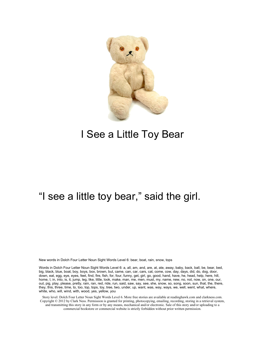

# I See a Little Toy Bear

# "I see a little toy bear," said the girl.

New words in Dolch Four Letter Noun Sight Words Level 6: bear, boat, rain, snow, tops

Words in Dolch Four Letter Noun Sight Words Level 6: a, all, am, and, are, at, ate, away, baby, back, ball, be, bear, bed, big, black, blue, boat, boy, boys, box, brown, but, came, can, car, cars, cat, come, cow, day, days, did, do, dog, door, down, eat, egg, eye, eyes, feet, find, fire, fish, for, four, funny, get, girl, go, good, hand, have, he, head, help, here, hill, home, I, in, into, is, it, jump, leg, like, little, look, make, man, me, men, must, my, name, new, no, not, now, on, one, our, out, pig, play, please, pretty, rain, ran, red, ride, run, said, saw, say, see, she, snow, so, song, soon, sun, that, the, there, they, this, three, time, to, too, top, tops, toy, tree, two, under, up, want, was, way, ways, we, well, went, what, where, white, who, will, wind, with, wood, yes, yellow, you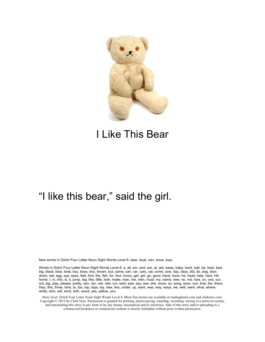

# I Like This Bear

# "I like this bear," said the girl.

New words in Dolch Four Letter Noun Sight Words Level 6: bear, boat, rain, snow, tops

Words in Dolch Four Letter Noun Sight Words Level 6: a, all, am, and, are, at, ate, away, baby, back, ball, be, bear, bed, big, black, blue, boat, boy, boys, box, brown, but, came, can, car, cars, cat, come, cow, day, days, did, do, dog, door, down, eat, egg, eye, eyes, feet, find, fire, fish, for, four, funny, get, girl, go, good, hand, have, he, head, help, here, hill, home, I, in, into, is, it, jump, leg, like, little, look, make, man, me, men, must, my, name, new, no, not, now, on, one, our, out, pig, play, please, pretty, rain, ran, red, ride, run, said, saw, say, see, she, snow, so, song, soon, sun, that, the, there, they, this, three, time, to, too, top, tops, toy, tree, two, under, up, want, was, way, ways, we, well, went, what, where, white, who, will, wind, with, wood, yes, yellow, you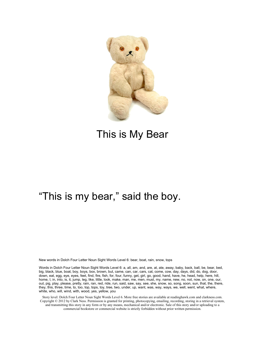

# This is My Bear

#### "This is my bear," said the boy.

New words in Dolch Four Letter Noun Sight Words Level 6: bear, boat, rain, snow, tops

Words in Dolch Four Letter Noun Sight Words Level 6: a, all, am, and, are, at, ate, away, baby, back, ball, be, bear, bed, big, black, blue, boat, boy, boys, box, brown, but, came, can, car, cars, cat, come, cow, day, days, did, do, dog, door, down, eat, egg, eye, eyes, feet, find, fire, fish, for, four, funny, get, girl, go, good, hand, have, he, head, help, here, hill, home, I, in, into, is, it, jump, leg, like, little, look, make, man, me, men, must, my, name, new, no, not, now, on, one, our, out, pig, play, please, pretty, rain, ran, red, ride, run, said, saw, say, see, she, snow, so, song, soon, sun, that, the, there, they, this, three, time, to, too, top, tops, toy, tree, two, under, up, want, was, way, ways, we, well, went, what, where, white, who, will, wind, with, wood, yes, yellow, you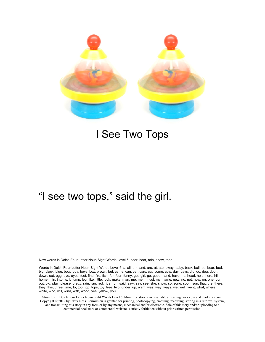

#### I See Two Tops

#### "I see two tops," said the girl.

New words in Dolch Four Letter Noun Sight Words Level 6: bear, boat, rain, snow, tops

Words in Dolch Four Letter Noun Sight Words Level 6: a, all, am, and, are, at, ate, away, baby, back, ball, be, bear, bed, big, black, blue, boat, boy, boys, box, brown, but, came, can, car, cars, cat, come, cow, day, days, did, do, dog, door, down, eat, egg, eye, eyes, feet, find, fire, fish, for, four, funny, get, girl, go, good, hand, have, he, head, help, here, hill, home, I, in, into, is, it, jump, leg, like, little, look, make, man, me, men, must, my, name, new, no, not, now, on, one, our, out, pig, play, please, pretty, rain, ran, red, ride, run, said, saw, say, see, she, snow, so, song, soon, sun, that, the, there, they, this, three, time, to, too, top, tops, toy, tree, two, under, up, want, was, way, ways, we, well, went, what, where, white, who, will, wind, with, wood, yes, yellow, you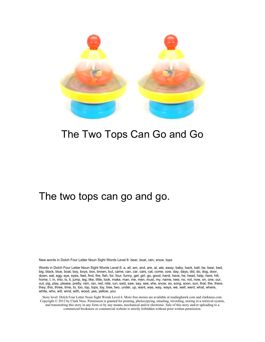

# The Two Tops Can Go and Go

#### The two tops can go and go.

New words in Dolch Four Letter Noun Sight Words Level 6: bear, boat, rain, snow, tops

Words in Dolch Four Letter Noun Sight Words Level 6: a, all, am, and, are, at, ate, away, baby, back, ball, be, bear, bed, big, black, blue, boat, boy, boys, box, brown, but, came, can, car, cars, cat, come, cow, day, days, did, do, dog, door, down, eat, egg, eye, eyes, feet, find, fire, fish, for, four, funny, get, girl, go, good, hand, have, he, head, help, here, hill, home, I, in, into, is, it, jump, leg, like, little, look, make, man, me, men, must, my, name, new, no, not, now, on, one, our, out, pig, play, please, pretty, rain, ran, red, ride, run, said, saw, say, see, she, snow, so, song, soon, sun, that, the, there, they, this, three, time, to, too, top, tops, toy, tree, two, under, up, want, was, way, ways, we, well, went, what, where, white, who, will, wind, with, wood, yes, yellow, you